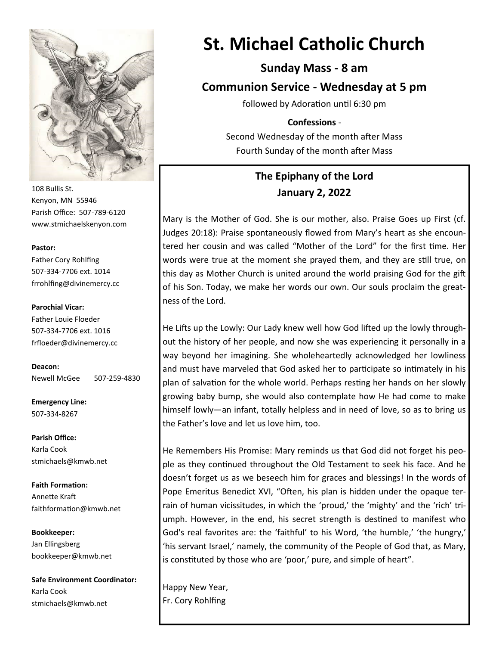

108 Bullis St. Kenyon, MN 55946 Parish Office: 507-789-6120 www.stmichaelskenyon.com

#### **Pastor:**

Father Cory Rohlfing 507-334-7706 ext. 1014 frrohlfing@divinemercy.cc

#### **Parochial Vicar:**

Father Louie Floeder 507-334-7706 ext. 1016 frfloeder@divinemercy.cc

**Deacon:**  Newell McGee 507-259-4830

**Emergency Line:** 507-334-8267

**Parish Office:**  Karla Cook stmichaels@kmwb.net

**Faith Formation:**  Annette Kraft faithformation@kmwb.net

**Bookkeeper:**  Jan Ellingsberg bookkeeper@kmwb.net

**Safe Environment Coordinator:** Karla Cook stmichaels@kmwb.net

# **St. Michael Catholic Church**

**Sunday Mass - 8 am**

**Communion Service - Wednesday at 5 pm** 

followed by Adoration until 6:30 pm

#### **Confessions** -

Second Wednesday of the month after Mass Fourth Sunday of the month after Mass

# **The Epiphany of the Lord January 2, 2022**

Mary is the Mother of God. She is our mother, also. Praise Goes up First (cf. Judges 20:18): Praise spontaneously flowed from Mary's heart as she encountered her cousin and was called "Mother of the Lord" for the first time. Her words were true at the moment she prayed them, and they are still true, on this day as Mother Church is united around the world praising God for the gift of his Son. Today, we make her words our own. Our souls proclaim the greatness of the Lord.

He Lifts up the Lowly: Our Lady knew well how God lifted up the lowly throughout the history of her people, and now she was experiencing it personally in a way beyond her imagining. She wholeheartedly acknowledged her lowliness and must have marveled that God asked her to participate so intimately in his plan of salvation for the whole world. Perhaps resting her hands on her slowly growing baby bump, she would also contemplate how He had come to make himself lowly—an infant, totally helpless and in need of love, so as to bring us the Father's love and let us love him, too.

He Remembers His Promise: Mary reminds us that God did not forget his people as they continued throughout the Old Testament to seek his face. And he doesn't forget us as we beseech him for graces and blessings! In the words of Pope Emeritus Benedict XVI, "Often, his plan is hidden under the opaque terrain of human vicissitudes, in which the 'proud,' the 'mighty' and the 'rich' triumph. However, in the end, his secret strength is destined to manifest who God's real favorites are: the 'faithful' to his Word, 'the humble,' 'the hungry,' 'his servant Israel,' namely, the community of the People of God that, as Mary, is constituted by those who are 'poor,' pure, and simple of heart".

Happy New Year, Fr. Cory Rohlfing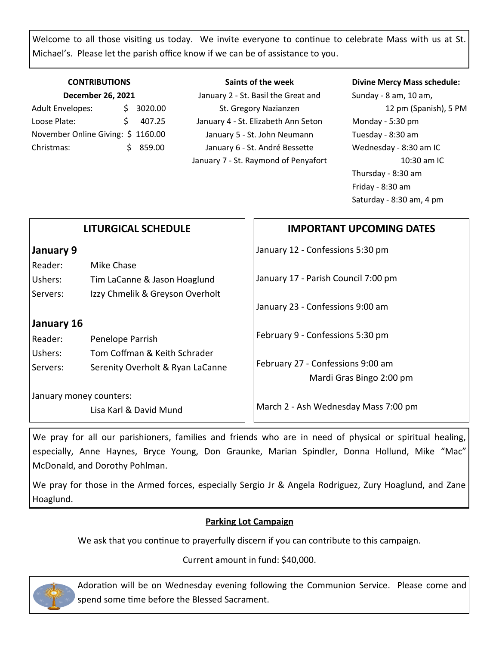Welcome to all those visiting us today. We invite everyone to continue to celebrate Mass with us at St. Michael's. Please let the parish office know if we can be of assistance to you.

#### **CONTRIBUTIONS December 26, 2021**

| <b>Adult Envelopes:</b>           |    | \$3020.00 |
|-----------------------------------|----|-----------|
| Loose Plate:                      | ς. | 407.25    |
| November Online Giving: \$1160.00 |    |           |
| Christmas:                        |    | \$859.00  |

**Saints of the week** January 2 - St. Basil the Great and St. Gregory Nazianzen January 4 - St. Elizabeth Ann Seton January 5 - St. John Neumann January 6 - St. André Bessette January 7 - St. Raymond of Penyafort

#### **Divine Mercy Mass schedule:**

Sunday - 8 am, 10 am, 12 pm (Spanish), 5 PM Monday - 5:30 pm Tuesday - 8:30 am Wednesday - 8:30 am IC 10:30 am IC Thursday - 8:30 am Friday - 8:30 am Saturday - 8:30 am, 4 pm

# **IMPORTANT UPCOMING DATES**

January 12 - Confessions 5:30 pm

January 17 - Parish Council 7:00 pm

January 23 - Confessions 9:00 am

February 9 - Confessions 5:30 pm

February 27 - Confessions 9:00 am Mardi Gras Bingo 2:00 pm

March 2 - Ash Wednesday Mass 7:00 pm

We pray for all our parishioners, families and friends who are in need of physical or spiritual healing, especially, Anne Haynes, Bryce Young, Don Graunke, Marian Spindler, Donna Hollund, Mike "Mac" McDonald, and Dorothy Pohlman.

We pray for those in the Armed forces, especially Sergio Jr & Angela Rodriguez, Zury Hoaglund, and Zane Hoaglund.

### **Parking Lot Campaign**

We ask that you continue to prayerfully discern if you can contribute to this campaign.

Current amount in fund: \$40,000.



Adoration will be on Wednesday evening following the Communion Service. Please come and spend some time before the Blessed Sacrament.

| January 9 |                                 |
|-----------|---------------------------------|
| Reader:   | Mike Chase                      |
| Ushers:   | Tim LaCanne & Jason Hoaglund    |
| Servers:  | Izzy Chmelik & Greyson Overholt |

**LITURGICAL SCHEDULE**

## **January 16**

| Reader:  | Penelope Parrish                 |
|----------|----------------------------------|
| Ushers:  | Tom Coffman & Keith Schrader     |
| Servers: | Serenity Overholt & Ryan LaCanne |

January money counters:

Lisa Karl & David Mund